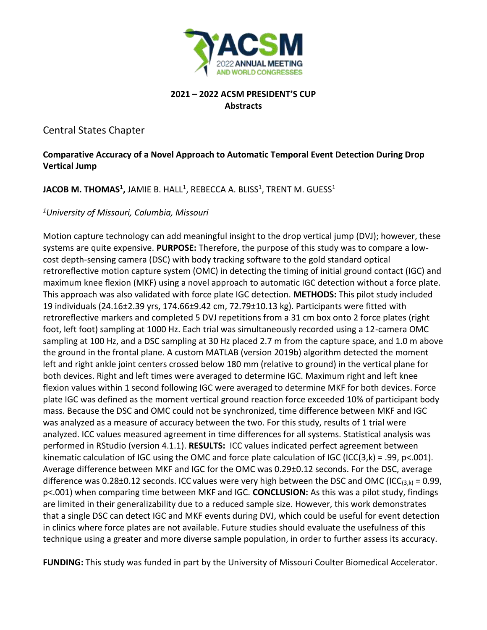

#### **2021 – 2022 ACSM PRESIDENT'S CUP Abstracts**

Central States Chapter

## **Comparative Accuracy of a Novel Approach to Automatic Temporal Event Detection During Drop Vertical Jump**

 $JACOB$  M. THOMAS $^1$ , JAMIE B. HALL $^1$ , REBECCA A. BLISS $^1$ , TRENT M. GUESS $^1$ 

### *<sup>1</sup>University of Missouri, Columbia, Missouri*

Motion capture technology can add meaningful insight to the drop vertical jump (DVJ); however, these systems are quite expensive. **PURPOSE:** Therefore, the purpose of this study was to compare a lowcost depth-sensing camera (DSC) with body tracking software to the gold standard optical retroreflective motion capture system (OMC) in detecting the timing of initial ground contact (IGC) and maximum knee flexion (MKF) using a novel approach to automatic IGC detection without a force plate. This approach was also validated with force plate IGC detection. **METHODS:** This pilot study included 19 individuals (24.16±2.39 yrs, 174.66±9.42 cm, 72.79±10.13 kg). Participants were fitted with retroreflective markers and completed 5 DVJ repetitions from a 31 cm box onto 2 force plates (right foot, left foot) sampling at 1000 Hz. Each trial was simultaneously recorded using a 12-camera OMC sampling at 100 Hz, and a DSC sampling at 30 Hz placed 2.7 m from the capture space, and 1.0 m above the ground in the frontal plane. A custom MATLAB (version 2019b) algorithm detected the moment left and right ankle joint centers crossed below 180 mm (relative to ground) in the vertical plane for both devices. Right and left times were averaged to determine IGC. Maximum right and left knee flexion values within 1 second following IGC were averaged to determine MKF for both devices. Force plate IGC was defined as the moment vertical ground reaction force exceeded 10% of participant body mass. Because the DSC and OMC could not be synchronized, time difference between MKF and IGC was analyzed as a measure of accuracy between the two. For this study, results of 1 trial were analyzed. ICC values measured agreement in time differences for all systems. Statistical analysis was performed in RStudio (version 4.1.1). **RESULTS:** ICC values indicated perfect agreement between kinematic calculation of IGC using the OMC and force plate calculation of IGC (ICC(3,k) = .99, p<.001). Average difference between MKF and IGC for the OMC was 0.29±0.12 seconds. For the DSC, average difference was 0.28±0.12 seconds. ICC values were very high between the DSC and OMC (ICC $_{(3,k)}$  = 0.99, p<.001) when comparing time between MKF and IGC. **CONCLUSION:** As this was a pilot study, findings are limited in their generalizability due to a reduced sample size. However, this work demonstrates that a single DSC can detect IGC and MKF events during DVJ, which could be useful for event detection in clinics where force plates are not available. Future studies should evaluate the usefulness of this technique using a greater and more diverse sample population, in order to further assess its accuracy.

**FUNDING:** This study was funded in part by the University of Missouri Coulter Biomedical Accelerator.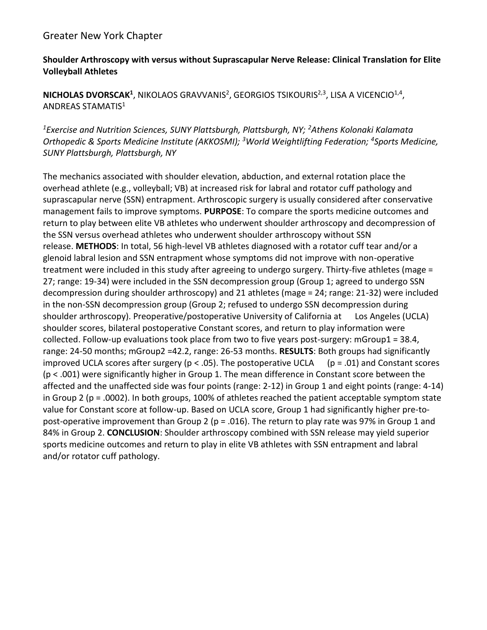### Greater New York Chapter

#### **Shoulder Arthroscopy with versus without Suprascapular Nerve Release: Clinical Translation for Elite Volleyball Athletes**

**NICHOLAS DVORSCAK<sup>1</sup>, NIKOLAOS GRAVVANIS<sup>2</sup>, GEORGIOS TSIKOURIS<sup>2,3</sup>, LISA A VICENCIO<sup>1,4</sup>,** ANDREAS STAMATIS<sup>1</sup>

*<sup>1</sup>Exercise and Nutrition Sciences, SUNY Plattsburgh, Plattsburgh, NY; <sup>2</sup>Athens Kolonaki Kalamata Orthopedic & Sports Medicine Institute (AKKOSMI); <sup>3</sup>World Weightlifting Federation; <sup>4</sup>Sports Medicine, SUNY Plattsburgh, Plattsburgh, NY*

The mechanics associated with shoulder elevation, abduction, and external rotation place the overhead athlete (e.g., volleyball; VB) at increased risk for labral and rotator cuff pathology and suprascapular nerve (SSN) entrapment. Arthroscopic surgery is usually considered after conservative management fails to improve symptoms. **PURPOSE**: To compare the sports medicine outcomes and return to play between elite VB athletes who underwent shoulder arthroscopy and decompression of the SSN versus overhead athletes who underwent shoulder arthroscopy without SSN release. **METHODS**: In total, 56 high-level VB athletes diagnosed with a rotator cuff tear and/or a glenoid labral lesion and SSN entrapment whose symptoms did not improve with non-operative treatment were included in this study after agreeing to undergo surgery. Thirty-five athletes (mage = 27; range: 19-34) were included in the SSN decompression group (Group 1; agreed to undergo SSN decompression during shoulder arthroscopy) and 21 athletes (mage = 24; range: 21-32) were included in the non-SSN decompression group (Group 2; refused to undergo SSN decompression during shoulder arthroscopy). Preoperative/postoperative University of California at Los Angeles (UCLA) shoulder scores, bilateral postoperative Constant scores, and return to play information were collected. Follow-up evaluations took place from two to five years post-surgery: mGroup1 = 38.4, range: 24-50 months; mGroup2 =42.2, range: 26-53 months. **RESULTS**: Both groups had significantly improved UCLA scores after surgery ( $p < .05$ ). The postoperative UCLA ( $p = .01$ ) and Constant scores (p < .001) were significantly higher in Group 1. The mean difference in Constant score between the affected and the unaffected side was four points (range: 2-12) in Group 1 and eight points (range: 4-14) in Group 2 (p = .0002). In both groups, 100% of athletes reached the patient acceptable symptom state value for Constant score at follow-up. Based on UCLA score, Group 1 had significantly higher pre-topost-operative improvement than Group 2 (p = .016). The return to play rate was 97% in Group 1 and 84% in Group 2. **CONCLUSION**: Shoulder arthroscopy combined with SSN release may yield superior sports medicine outcomes and return to play in elite VB athletes with SSN entrapment and labral and/or rotator cuff pathology.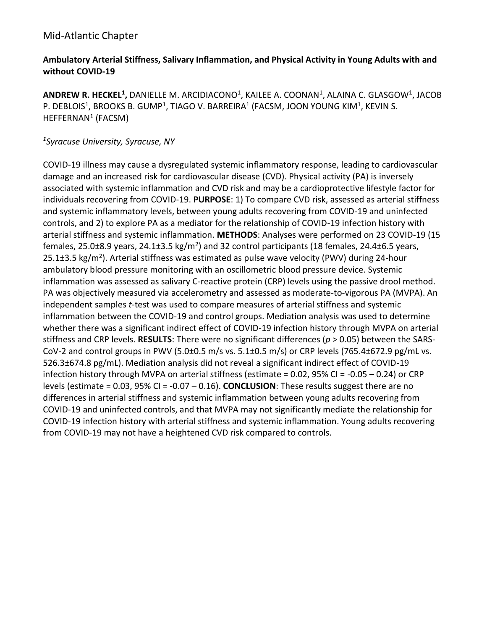### Mid-Atlantic Chapter

#### **Ambulatory Arterial Stiffness, Salivary Inflammation, and Physical Activity in Young Adults with and without COVID-19**

 $\textsf{ANDREW}$  **R. <code>HECKEL<sup>1</sup>,** DANIELLE M. ARCIDIACONO $^1$ , KAILEE A. COONAN $^1$ , ALAINA C. GLASGOW $^1$ , JACOB</code> P. DEBLOIS<sup>1</sup>, BROOKS B. GUMP<sup>1</sup>, TIAGO V. BARREIRA<sup>1</sup> (FACSM, JOON YOUNG KIM<sup>1</sup>, KEVIN S. HEFFERNAN<sup>1</sup> (FACSM)

#### *<sup>1</sup>Syracuse University, Syracuse, NY*

COVID-19 illness may cause a dysregulated systemic inflammatory response, leading to cardiovascular damage and an increased risk for cardiovascular disease (CVD). Physical activity (PA) is inversely associated with systemic inflammation and CVD risk and may be a cardioprotective lifestyle factor for individuals recovering from COVID-19. **PURPOSE**: 1) To compare CVD risk, assessed as arterial stiffness and systemic inflammatory levels, between young adults recovering from COVID-19 and uninfected controls, and 2) to explore PA as a mediator for the relationship of COVID-19 infection history with arterial stiffness and systemic inflammation. **METHODS**: Analyses were performed on 23 COVID-19 (15 females, 25.0 $\pm$ 8.9 years, 24.1 $\pm$ 3.5 kg/m<sup>2</sup>) and 32 control participants (18 females, 24.4 $\pm$ 6.5 years, 25.1±3.5 kg/m<sup>2</sup>). Arterial stiffness was estimated as pulse wave velocity (PWV) during 24-hour ambulatory blood pressure monitoring with an oscillometric blood pressure device. Systemic inflammation was assessed as salivary C-reactive protein (CRP) levels using the passive drool method. PA was objectively measured via accelerometry and assessed as moderate-to-vigorous PA (MVPA). An independent samples *t*-test was used to compare measures of arterial stiffness and systemic inflammation between the COVID-19 and control groups. Mediation analysis was used to determine whether there was a significant indirect effect of COVID-19 infection history through MVPA on arterial stiffness and CRP levels. **RESULTS**: There were no significant differences (*p* > 0.05) between the SARS-CoV-2 and control groups in PWV (5.0 $\pm$ 0.5 m/s vs. 5.1 $\pm$ 0.5 m/s) or CRP levels (765.4 $\pm$ 672.9 pg/mL vs. 526.3±674.8 pg/mL). Mediation analysis did not reveal a significant indirect effect of COVID-19 infection history through MVPA on arterial stiffness (estimate = 0.02, 95% CI = -0.05 – 0.24) or CRP levels (estimate = 0.03, 95% CI = -0.07 – 0.16). **CONCLUSION**: These results suggest there are no differences in arterial stiffness and systemic inflammation between young adults recovering from COVID-19 and uninfected controls, and that MVPA may not significantly mediate the relationship for COVID-19 infection history with arterial stiffness and systemic inflammation. Young adults recovering from COVID-19 may not have a heightened CVD risk compared to controls.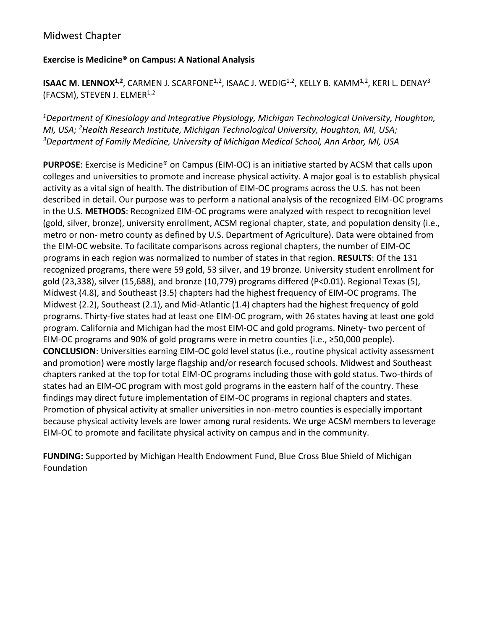# Midwest Chapter

#### **Exercise is Medicine® on Campus: A National Analysis**

**ISAAC M. LENNOX<sup>1,2</sup>, CARMEN J. SCARFONE<sup>1,2</sup>, ISAAC J. WEDIG<sup>1,2</sup>, KELLY B. KAMM<sup>1,2</sup>, KERI L. DENAY<sup>3</sup>** (FACSM), STEVEN J. ELMER<sup>1,2</sup>

*<sup>1</sup>Department of Kinesiology and Integrative Physiology, Michigan Technological University, Houghton, MI, USA; <sup>2</sup>Health Research Institute, Michigan Technological University, Houghton, MI, USA; <sup>3</sup>Department of Family Medicine, University of Michigan Medical School, Ann Arbor, MI, USA*

**PURPOSE**: Exercise is Medicine® on Campus (EIM-OC) is an initiative started by ACSM that calls upon colleges and universities to promote and increase physical activity. A major goal is to establish physical activity as a vital sign of health. The distribution of EIM-OC programs across the U.S. has not been described in detail. Our purpose was to perform a national analysis of the recognized EIM-OC programs in the U.S. **METHODS**: Recognized EIM-OC programs were analyzed with respect to recognition level (gold, silver, bronze), university enrollment, ACSM regional chapter, state, and population density (i.e., metro or non- metro county as defined by U.S. Department of Agriculture). Data were obtained from the EIM-OC website. To facilitate comparisons across regional chapters, the number of EIM-OC programs in each region was normalized to number of states in that region. **RESULTS**: Of the 131 recognized programs, there were 59 gold, 53 silver, and 19 bronze. University student enrollment for gold (23,338), silver (15,688), and bronze (10,779) programs differed (P<0.01). Regional Texas (5), Midwest (4.8), and Southeast (3.5) chapters had the highest frequency of EIM-OC programs. The Midwest (2.2), Southeast (2.1), and Mid-Atlantic (1.4) chapters had the highest frequency of gold programs. Thirty-five states had at least one EIM-OC program, with 26 states having at least one gold program. California and Michigan had the most EIM-OC and gold programs. Ninety- two percent of EIM-OC programs and 90% of gold programs were in metro counties (i.e., ≥50,000 people). **CONCLUSION**: Universities earning EIM-OC gold level status (i.e., routine physical activity assessment and promotion) were mostly large flagship and/or research focused schools. Midwest and Southeast chapters ranked at the top for total EIM-OC programs including those with gold status. Two-thirds of states had an EIM-OC program with most gold programs in the eastern half of the country. These findings may direct future implementation of EIM-OC programs in regional chapters and states. Promotion of physical activity at smaller universities in non-metro counties is especially important because physical activity levels are lower among rural residents. We urge ACSM members to leverage EIM-OC to promote and facilitate physical activity on campus and in the community.

**FUNDING:** Supported by Michigan Health Endowment Fund, Blue Cross Blue Shield of Michigan Foundation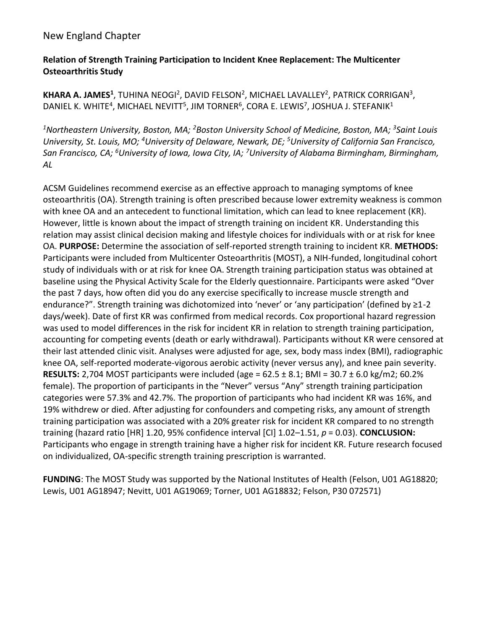## New England Chapter

### **Relation of Strength Training Participation to Incident Knee Replacement: The Multicenter Osteoarthritis Study**

**KHARA A. JAMES<sup>1</sup>, TUHINA NEOGI<sup>2</sup>, DAVID FELSON<sup>2</sup>, MICHAEL LAVALLEY<sup>2</sup>, PATRICK CORRIGAN<sup>3</sup>,** DANIEL K. WHITE $^4$ , MICHAEL NEVITT $^5$ , JIM TORNER $^6$ , CORA E. LEWIS $^7$ , JOSHUA J. STEFANIK $^1$ 

*<sup>1</sup>Northeastern University, Boston, MA; <sup>2</sup>Boston University School of Medicine, Boston, MA; <sup>3</sup>Saint Louis University, St. Louis, MO; <sup>4</sup>University of Delaware, Newark, DE; <sup>5</sup>University of California San Francisco, San Francisco, CA; <sup>6</sup>University of Iowa, Iowa City, IA; <sup>7</sup>University of Alabama Birmingham, Birmingham, AL*

ACSM Guidelines recommend exercise as an effective approach to managing symptoms of knee osteoarthritis (OA). Strength training is often prescribed because lower extremity weakness is common with knee OA and an antecedent to functional limitation, which can lead to knee replacement (KR). However, little is known about the impact of strength training on incident KR. Understanding this relation may assist clinical decision making and lifestyle choices for individuals with or at risk for knee OA. **PURPOSE:** Determine the association of self-reported strength training to incident KR. **METHODS:**  Participants were included from Multicenter Osteoarthritis (MOST), a NIH-funded, longitudinal cohort study of individuals with or at risk for knee OA. Strength training participation status was obtained at baseline using the Physical Activity Scale for the Elderly questionnaire. Participants were asked "Over the past 7 days, how often did you do any exercise specifically to increase muscle strength and endurance?". Strength training was dichotomized into 'never' or 'any participation' (defined by ≥1-2 days/week). Date of first KR was confirmed from medical records. Cox proportional hazard regression was used to model differences in the risk for incident KR in relation to strength training participation, accounting for competing events (death or early withdrawal). Participants without KR were censored at their last attended clinic visit. Analyses were adjusted for age, sex, body mass index (BMI), radiographic knee OA, self-reported moderate-vigorous aerobic activity (never versus any), and knee pain severity. **RESULTS:** 2,704 MOST participants were included (age = 62.5 ± 8.1; BMI = 30.7 ± 6.0 kg/m2; 60.2% female). The proportion of participants in the "Never" versus "Any" strength training participation categories were 57.3% and 42.7%. The proportion of participants who had incident KR was 16%, and 19% withdrew or died. After adjusting for confounders and competing risks, any amount of strength training participation was associated with a 20% greater risk for incident KR compared to no strength training (hazard ratio [HR] 1.20, 95% confidence interval [CI] 1.02–1.51, *p* = 0.03). **CONCLUSION:**  Participants who engage in strength training have a higher risk for incident KR. Future research focused on individualized, OA-specific strength training prescription is warranted.

**FUNDING**: The MOST Study was supported by the National Institutes of Health (Felson, U01 AG18820; Lewis, U01 AG18947; Nevitt, U01 AG19069; Torner, U01 AG18832; Felson, P30 072571)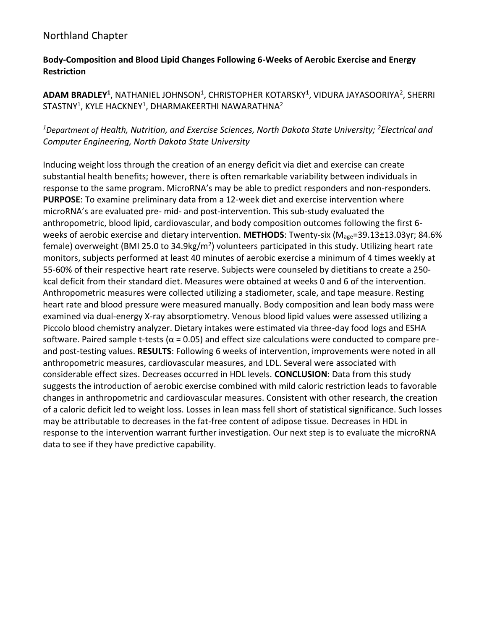# Northland Chapter

### **Body-Composition and Blood Lipid Changes Following 6-Weeks of Aerobic Exercise and Energy Restriction**

**ADAM BRADLEY<sup>1</sup>, NATHANIEL JOHNSON<sup>1</sup>, CHRISTOPHER KOTARSKY<sup>1</sup>, VIDURA JAYASOORIYA<sup>2</sup>, SHERRI**  $\textsf{STASTNY}^1$ , KYLE HACKNEY $^1$ , DHARMAKEERTHI NAWARATHNA $^2$ 

### *<sup>1</sup>Department of Health, Nutrition, and Exercise Sciences, North Dakota State University; <sup>2</sup>Electrical and Computer Engineering, North Dakota State University*

Inducing weight loss through the creation of an energy deficit via diet and exercise can create substantial health benefits; however, there is often remarkable variability between individuals in response to the same program. MicroRNA's may be able to predict responders and non-responders. **PURPOSE**: To examine preliminary data from a 12-week diet and exercise intervention where microRNA's are evaluated pre- mid- and post-intervention. This sub-study evaluated the anthropometric, blood lipid, cardiovascular, and body composition outcomes following the first 6 weeks of aerobic exercise and dietary intervention. **METHODS**: Twenty-six (M<sub>age</sub>=39.13±13.03yr; 84.6% female) overweight (BMI 25.0 to 34.9kg/m<sup>2</sup>) volunteers participated in this study. Utilizing heart rate monitors, subjects performed at least 40 minutes of aerobic exercise a minimum of 4 times weekly at 55-60% of their respective heart rate reserve. Subjects were counseled by dietitians to create a 250 kcal deficit from their standard diet. Measures were obtained at weeks 0 and 6 of the intervention. Anthropometric measures were collected utilizing a stadiometer, scale, and tape measure. Resting heart rate and blood pressure were measured manually. Body composition and lean body mass were examined via dual-energy X-ray absorptiometry. Venous blood lipid values were assessed utilizing a Piccolo blood chemistry analyzer. Dietary intakes were estimated via three-day food logs and ESHA software. Paired sample t-tests ( $\alpha$  = 0.05) and effect size calculations were conducted to compare preand post-testing values. **RESULTS**: Following 6 weeks of intervention, improvements were noted in all anthropometric measures, cardiovascular measures, and LDL. Several were associated with considerable effect sizes. Decreases occurred in HDL levels. **CONCLUSION**: Data from this study suggests the introduction of aerobic exercise combined with mild caloric restriction leads to favorable changes in anthropometric and cardiovascular measures. Consistent with other research, the creation of a caloric deficit led to weight loss. Losses in lean mass fell short of statistical significance. Such losses may be attributable to decreases in the fat-free content of adipose tissue. Decreases in HDL in response to the intervention warrant further investigation. Our next step is to evaluate the microRNA data to see if they have predictive capability.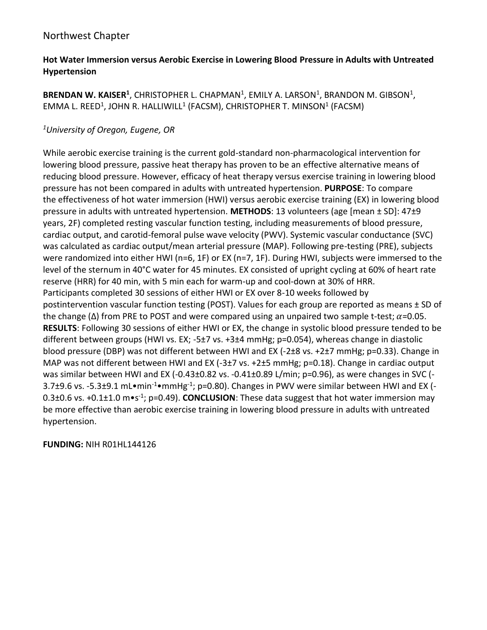## Northwest Chapter

### **Hot Water Immersion versus Aerobic Exercise in Lowering Blood Pressure in Adults with Untreated Hypertension**

BRENDAN W. KAISER<sup>1</sup>, CHRISTOPHER L. CHAPMAN<sup>1</sup>, EMILY A. LARSON<sup>1</sup>, BRANDON M. GIBSON<sup>1</sup>, EMMA L. REED<sup>1</sup>, JOHN R. HALLIWILL<sup>1</sup> (FACSM), CHRISTOPHER T. MINSON<sup>1</sup> (FACSM)

### *<sup>1</sup>University of Oregon, Eugene, OR*

While aerobic exercise training is the current gold-standard non-pharmacological intervention for lowering blood pressure, passive heat therapy has proven to be an effective alternative means of reducing blood pressure. However, efficacy of heat therapy versus exercise training in lowering blood pressure has not been compared in adults with untreated hypertension. **PURPOSE**: To compare the effectiveness of hot water immersion (HWI) versus aerobic exercise training (EX) in lowering blood pressure in adults with untreated hypertension. **METHODS**: 13 volunteers (age [mean ± SD]: 47±9 years, 2F) completed resting vascular function testing, including measurements of blood pressure, cardiac output, and carotid-femoral pulse wave velocity (PWV). Systemic vascular conductance (SVC) was calculated as cardiac output/mean arterial pressure (MAP). Following pre-testing (PRE), subjects were randomized into either HWI (n=6, 1F) or EX (n=7, 1F). During HWI, subjects were immersed to the level of the sternum in 40°C water for 45 minutes. EX consisted of upright cycling at 60% of heart rate reserve (HRR) for 40 min, with 5 min each for warm-up and cool-down at 30% of HRR. Participants completed 30 sessions of either HWI or EX over 8-10 weeks followed by postintervention vascular function testing (POST). Values for each group are reported as means ± SD of the change ( $\Delta$ ) from PRE to POST and were compared using an unpaired two sample t-test;  $\alpha$ =0.05. **RESULTS**: Following 30 sessions of either HWI or EX, the change in systolic blood pressure tended to be different between groups (HWI vs. EX; -5±7 vs. +3±4 mmHg; p=0.054), whereas change in diastolic blood pressure (DBP) was not different between HWI and EX (-2±8 vs. +2±7 mmHg; p=0.33). Change in MAP was not different between HWI and EX (-3±7 vs. +2±5 mmHg; p=0.18). Change in cardiac output was similar between HWI and EX (-0.43±0.82 vs. -0.41±0.89 L/min; p=0.96), as were changes in SVC (- 3.7±9.6 vs. -5.3±9.1 mL•min<sup>-1</sup>•mmHg<sup>-1</sup>; p=0.80). Changes in PWV were similar between HWI and EX (-0.3±0.6 vs. +0.1±1.0 m•s-1 ; p=0.49). **CONCLUSION**: These data suggest that hot water immersion may be more effective than aerobic exercise training in lowering blood pressure in adults with untreated hypertension.

**FUNDING:** NIH R01HL144126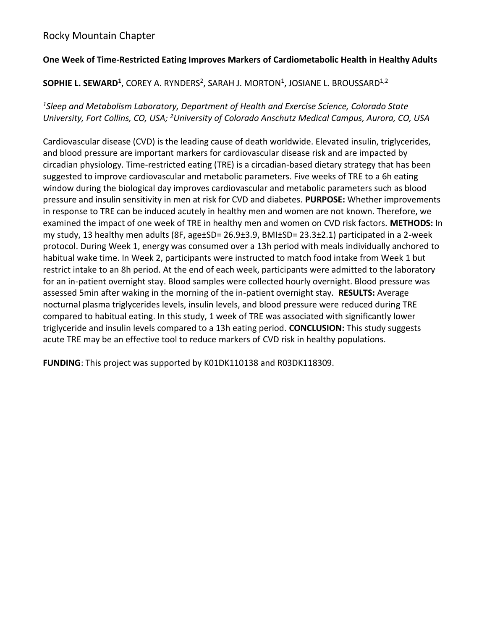# Rocky Mountain Chapter

#### **One Week of Time-Restricted Eating Improves Markers of Cardiometabolic Health in Healthy Adults**

#### **SOPHIE L. SEWARD<sup>1</sup>,** COREY A. RYNDERS<sup>2</sup>, SARAH J. MORTON<sup>1</sup>, JOSIANE L. BROUSSARD<sup>1,2</sup>

*<sup>1</sup>Sleep and Metabolism Laboratory, Department of Health and Exercise Science, Colorado State University, Fort Collins, CO, USA; <sup>2</sup>University of Colorado Anschutz Medical Campus, Aurora, CO, USA*

Cardiovascular disease (CVD) is the leading cause of death worldwide. Elevated insulin, triglycerides, and blood pressure are important markers for cardiovascular disease risk and are impacted by circadian physiology. Time-restricted eating (TRE) is a circadian-based dietary strategy that has been suggested to improve cardiovascular and metabolic parameters. Five weeks of TRE to a 6h eating window during the biological day improves cardiovascular and metabolic parameters such as blood pressure and insulin sensitivity in men at risk for CVD and diabetes. **PURPOSE:** Whether improvements in response to TRE can be induced acutely in healthy men and women are not known. Therefore, we examined the impact of one week of TRE in healthy men and women on CVD risk factors. **METHODS:** In my study, 13 healthy men adults (8F, age±SD= 26.9±3.9, BMI±SD= 23.3±2.1) participated in a 2-week protocol. During Week 1, energy was consumed over a 13h period with meals individually anchored to habitual wake time. In Week 2, participants were instructed to match food intake from Week 1 but restrict intake to an 8h period. At the end of each week, participants were admitted to the laboratory for an in-patient overnight stay. Blood samples were collected hourly overnight. Blood pressure was assessed 5min after waking in the morning of the in-patient overnight stay. **RESULTS:** Average nocturnal plasma triglycerides levels, insulin levels, and blood pressure were reduced during TRE compared to habitual eating. In this study, 1 week of TRE was associated with significantly lower triglyceride and insulin levels compared to a 13h eating period. **CONCLUSION:** This study suggests acute TRE may be an effective tool to reduce markers of CVD risk in healthy populations.

**FUNDING**: This project was supported by K01DK110138 and R03DK118309.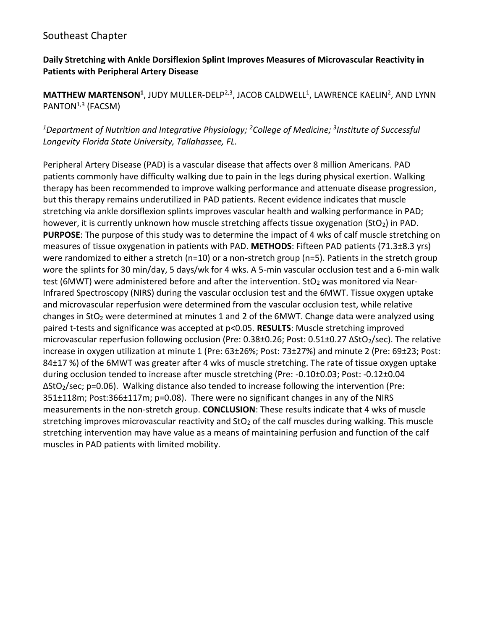# Southeast Chapter

### **Daily Stretching with Ankle Dorsiflexion Splint Improves Measures of Microvascular Reactivity in Patients with Peripheral Artery Disease**

**MATTHEW MARTENSON<sup>1</sup>, JUDY MULLER-DELP<sup>2,3</sup>, JACOB CALDWELL<sup>1</sup>, LAWRENCE KAELIN<sup>2</sup>, AND LYNN** PANTON<sup>1,3</sup> (FACSM)

### *<sup>1</sup>Department of Nutrition and Integrative Physiology; <sup>2</sup>College of Medicine; <sup>3</sup> Institute of Successful Longevity Florida State University, Tallahassee, FL.*

Peripheral Artery Disease (PAD) is a vascular disease that affects over 8 million Americans. PAD patients commonly have difficulty walking due to pain in the legs during physical exertion. Walking therapy has been recommended to improve walking performance and attenuate disease progression, but this therapy remains underutilized in PAD patients. Recent evidence indicates that muscle stretching via ankle dorsiflexion splints improves vascular health and walking performance in PAD; however, it is currently unknown how muscle stretching affects tissue oxygenation (StO<sub>2</sub>) in PAD. **PURPOSE**: The purpose of this study was to determine the impact of 4 wks of calf muscle stretching on measures of tissue oxygenation in patients with PAD. **METHODS**: Fifteen PAD patients (71.3±8.3 yrs) were randomized to either a stretch (n=10) or a non-stretch group (n=5). Patients in the stretch group wore the splints for 30 min/day, 5 days/wk for 4 wks. A 5-min vascular occlusion test and a 6-min walk test (6MWT) were administered before and after the intervention.  $StO<sub>2</sub>$  was monitored via Near-Infrared Spectroscopy (NIRS) during the vascular occlusion test and the 6MWT. Tissue oxygen uptake and microvascular reperfusion were determined from the vascular occlusion test, while relative changes in StO<sub>2</sub> were determined at minutes 1 and 2 of the 6MWT. Change data were analyzed using paired t-tests and significance was accepted at p<0.05. **RESULTS**: Muscle stretching improved microvascular reperfusion following occlusion (Pre: 0.38±0.26; Post: 0.51±0.27 ΔStO2/sec). The relative increase in oxygen utilization at minute 1 (Pre: 63±26%; Post: 73±27%) and minute 2 (Pre: 69±23; Post: 84±17 %) of the 6MWT was greater after 4 wks of muscle stretching. The rate of tissue oxygen uptake during occlusion tended to increase after muscle stretching (Pre: -0.10±0.03; Post: -0.12±0.04 ΔStO2/sec; p=0.06). Walking distance also tended to increase following the intervention (Pre: 351±118m; Post:366±117m; p=0.08). There were no significant changes in any of the NIRS measurements in the non-stretch group. **CONCLUSION**: These results indicate that 4 wks of muscle stretching improves microvascular reactivity and  $StO<sub>2</sub>$  of the calf muscles during walking. This muscle stretching intervention may have value as a means of maintaining perfusion and function of the calf muscles in PAD patients with limited mobility.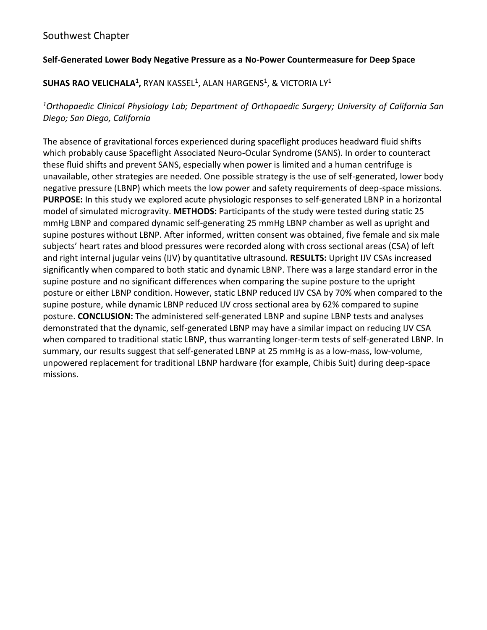# Southwest Chapter

#### **Self-Generated Lower Body Negative Pressure as a No-Power Countermeasure for Deep Space**

#### $\boldsymbol{\mathsf{SUMAS}}$  **RAO VELICHALA** $^{\boldsymbol{1}}$ **,** <code>RYAN KASSEL $^{\boldsymbol{1}}$ , ALAN HARGENS $^{\boldsymbol{1}}$ , & VICTORIA LY $^{\boldsymbol{1}}$ </code>

### *<sup>1</sup>Orthopaedic Clinical Physiology Lab; Department of Orthopaedic Surgery; University of California San Diego; San Diego, California*

The absence of gravitational forces experienced during spaceflight produces headward fluid shifts which probably cause Spaceflight Associated Neuro-Ocular Syndrome (SANS). In order to counteract these fluid shifts and prevent SANS, especially when power is limited and a human centrifuge is unavailable, other strategies are needed. One possible strategy is the use of self-generated, lower body negative pressure (LBNP) which meets the low power and safety requirements of deep-space missions. **PURPOSE:** In this study we explored acute physiologic responses to self-generated LBNP in a horizontal model of simulated microgravity. **METHODS:** Participants of the study were tested during static 25 mmHg LBNP and compared dynamic self-generating 25 mmHg LBNP chamber as well as upright and supine postures without LBNP. After informed, written consent was obtained, five female and six male subjects' heart rates and blood pressures were recorded along with cross sectional areas (CSA) of left and right internal jugular veins (IJV) by quantitative ultrasound. **RESULTS:** Upright IJV CSAs increased significantly when compared to both static and dynamic LBNP. There was a large standard error in the supine posture and no significant differences when comparing the supine posture to the upright posture or either LBNP condition. However, static LBNP reduced IJV CSA by 70% when compared to the supine posture, while dynamic LBNP reduced IJV cross sectional area by 62% compared to supine posture. **CONCLUSION:** The administered self-generated LBNP and supine LBNP tests and analyses demonstrated that the dynamic, self-generated LBNP may have a similar impact on reducing IJV CSA when compared to traditional static LBNP, thus warranting longer-term tests of self-generated LBNP. In summary, our results suggest that self-generated LBNP at 25 mmHg is as a low-mass, low-volume, unpowered replacement for traditional LBNP hardware (for example, Chibis Suit) during deep-space missions.